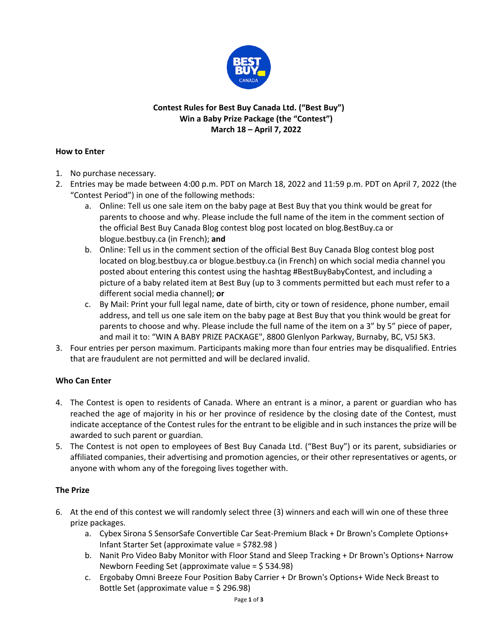

# **Contest Rules for Best Buy Canada Ltd. ("Best Buy") Win a Baby Prize Package (the "Contest") March 18 – April 7, 2022**

#### **How to Enter**

- 1. No purchase necessary.
- 2. Entries may be made between 4:00 p.m. PDT on March 18, 2022 and 11:59 p.m. PDT on April 7, 2022 (the "Contest Period") in one of the following methods:
	- a. Online: Tell us one sale item on the baby page at Best Buy that you think would be great for parents to choose and why. Please include the full name of the item in the comment section of the official Best Buy Canada Blog contest blog post located on blog.BestBuy.ca or blogue.bestbuy.ca (in French); **and**
	- b. Online: Tell us in the comment section of the official Best Buy Canada Blog contest blog post located on blog.bestbuy.ca or blogue.bestbuy.ca (in French) on which social media channel you posted about entering this contest using the hashtag #BestBuyBabyContest, and including a picture of a baby related item at Best Buy (up to 3 comments permitted but each must refer to a different social media channel); **or**
	- c. By Mail: Print your full legal name, date of birth, city or town of residence, phone number, email address, and tell us one sale item on the baby page at Best Buy that you think would be great for parents to choose and why. Please include the full name of the item on a 3" by 5" piece of paper, and mail it to: "WIN A BABY PRIZE PACKAGE", 8800 Glenlyon Parkway, Burnaby, BC, V5J 5K3.
- 3. Four entries per person maximum. Participants making more than four entries may be disqualified. Entries that are fraudulent are not permitted and will be declared invalid.

# **Who Can Enter**

- 4. The Contest is open to residents of Canada. Where an entrant is a minor, a parent or guardian who has reached the age of majority in his or her province of residence by the closing date of the Contest, must indicate acceptance of the Contest rules for the entrant to be eligible and in such instances the prize will be awarded to such parent or guardian.
- 5. The Contest is not open to employees of Best Buy Canada Ltd. ("Best Buy") or its parent, subsidiaries or affiliated companies, their advertising and promotion agencies, or their other representatives or agents, or anyone with whom any of the foregoing lives together with.

# **The Prize**

- 6. At the end of this contest we will randomly select three (3) winners and each will win one of these three prize packages.
	- a. Cybex Sirona S SensorSafe Convertible Car Seat-Premium Black + Dr Brown's Complete Options+ Infant Starter Set (approximate value = \$782.98 )
	- b. Nanit Pro Video Baby Monitor with Floor Stand and Sleep Tracking + Dr Brown's Options+ Narrow Newborn Feeding Set (approximate value = \$ 534.98)
	- c. Ergobaby Omni Breeze Four Position Baby Carrier + Dr Brown's Options+ Wide Neck Breast to Bottle Set (approximate value = \$ 296.98)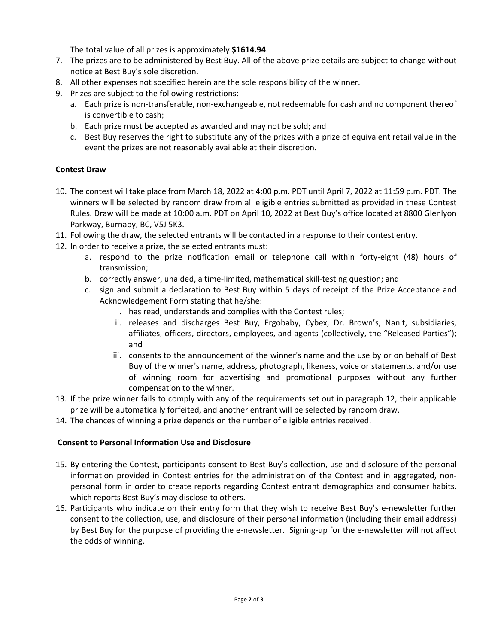The total value of all prizes is approximately **\$1614.94**.

- 7. The prizes are to be administered by Best Buy. All of the above prize details are subject to change without notice at Best Buy's sole discretion.
- 8. All other expenses not specified herein are the sole responsibility of the winner.
- 9. Prizes are subject to the following restrictions:
	- a. Each prize is non-transferable, non-exchangeable, not redeemable for cash and no component thereof is convertible to cash;
	- b. Each prize must be accepted as awarded and may not be sold; and
	- c. Best Buy reserves the right to substitute any of the prizes with a prize of equivalent retail value in the event the prizes are not reasonably available at their discretion.

# **Contest Draw**

- 10. The contest will take place from March 18, 2022 at 4:00 p.m. PDT until April 7, 2022 at 11:59 p.m. PDT. The winners will be selected by random draw from all eligible entries submitted as provided in these Contest Rules. Draw will be made at 10:00 a.m. PDT on April 10, 2022 at Best Buy's office located at 8800 Glenlyon Parkway, Burnaby, BC, V5J 5K3.
- 11. Following the draw, the selected entrants will be contacted in a response to their contest entry.
- 12. In order to receive a prize, the selected entrants must:
	- a. respond to the prize notification email or telephone call within forty-eight (48) hours of transmission;
	- b. correctly answer, unaided, a time-limited, mathematical skill-testing question; and
	- c. sign and submit a declaration to Best Buy within 5 days of receipt of the Prize Acceptance and Acknowledgement Form stating that he/she:
		- i. has read, understands and complies with the Contest rules;
		- ii. releases and discharges Best Buy, Ergobaby, Cybex, Dr. Brown's, Nanit, subsidiaries, affiliates, officers, directors, employees, and agents (collectively, the "Released Parties"); and
		- iii. consents to the announcement of the winner's name and the use by or on behalf of Best Buy of the winner's name, address, photograph, likeness, voice or statements, and/or use of winning room for advertising and promotional purposes without any further compensation to the winner.
- 13. If the prize winner fails to comply with any of the requirements set out in paragraph 12, their applicable prize will be automatically forfeited, and another entrant will be selected by random draw.
- 14. The chances of winning a prize depends on the number of eligible entries received.

# **Consent to Personal Information Use and Disclosure**

- 15. By entering the Contest, participants consent to Best Buy's collection, use and disclosure of the personal information provided in Contest entries for the administration of the Contest and in aggregated, nonpersonal form in order to create reports regarding Contest entrant demographics and consumer habits, which reports Best Buy's may disclose to others.
- 16. Participants who indicate on their entry form that they wish to receive Best Buy's e-newsletter further consent to the collection, use, and disclosure of their personal information (including their email address) by Best Buy for the purpose of providing the e-newsletter. Signing-up for the e-newsletter will not affect the odds of winning.